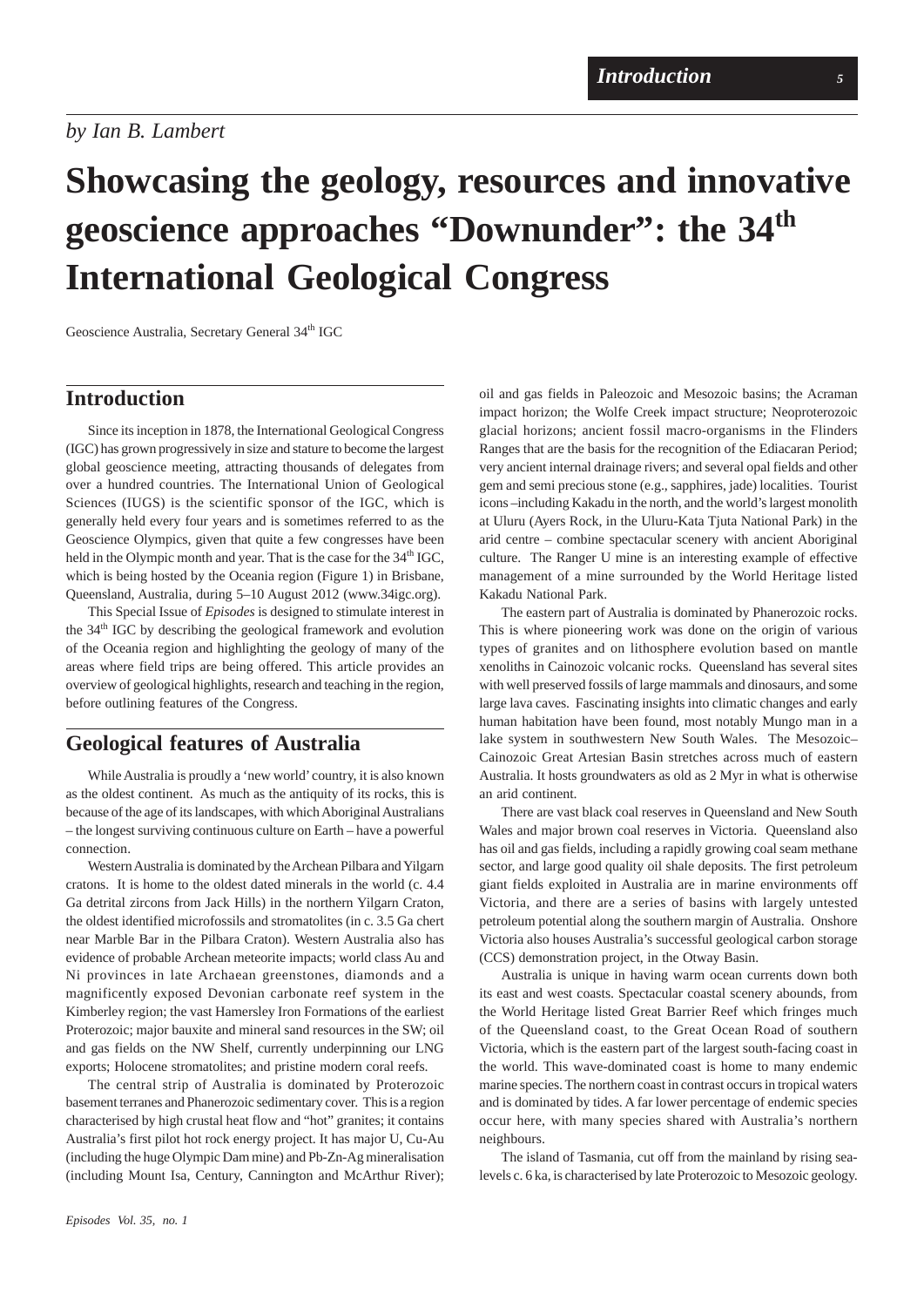# *by Ian B. Lambert*

# **Showcasing the geology, resources and innovative geoscience approaches "Downunder": the 34th International Geological Congress**

Geoscience Australia, Secretary General 34th IGC

### **Introduction**

Since its inception in 1878, the International Geological Congress (IGC) has grown progressively in size and stature to become the largest global geoscience meeting, attracting thousands of delegates from over a hundred countries. The International Union of Geological Sciences (IUGS) is the scientific sponsor of the IGC, which is generally held every four years and is sometimes referred to as the Geoscience Olympics, given that quite a few congresses have been held in the Olympic month and year. That is the case for the  $34<sup>th</sup>$  IGC, which is being hosted by the Oceania region (Figure 1) in Brisbane, Queensland, Australia, during 5–10 August 2012 (www.34igc.org).

This Special Issue of *Episodes* is designed to stimulate interest in the 34<sup>th</sup> IGC by describing the geological framework and evolution of the Oceania region and highlighting the geology of many of the areas where field trips are being offered. This article provides an overview of geological highlights, research and teaching in the region, before outlining features of the Congress.

## **Geological features of Australia**

While Australia is proudly a 'new world' country, it is also known as the oldest continent. As much as the antiquity of its rocks, this is because of the age of its landscapes, with which Aboriginal Australians – the longest surviving continuous culture on Earth – have a powerful connection.

Western Australia is dominated by the Archean Pilbara and Yilgarn cratons. It is home to the oldest dated minerals in the world (c. 4.4 Ga detrital zircons from Jack Hills) in the northern Yilgarn Craton, the oldest identified microfossils and stromatolites (in c. 3.5 Ga chert near Marble Bar in the Pilbara Craton). Western Australia also has evidence of probable Archean meteorite impacts; world class Au and Ni provinces in late Archaean greenstones, diamonds and a magnificently exposed Devonian carbonate reef system in the Kimberley region; the vast Hamersley Iron Formations of the earliest Proterozoic; major bauxite and mineral sand resources in the SW; oil and gas fields on the NW Shelf, currently underpinning our LNG exports; Holocene stromatolites; and pristine modern coral reefs.

The central strip of Australia is dominated by Proterozoic basement terranes and Phanerozoic sedimentary cover. This is a region characterised by high crustal heat flow and "hot" granites; it contains Australia's first pilot hot rock energy project. It has major U, Cu-Au (including the huge Olympic Dam mine) and Pb-Zn-Ag mineralisation (including Mount Isa, Century, Cannington and McArthur River);

oil and gas fields in Paleozoic and Mesozoic basins; the Acraman impact horizon; the Wolfe Creek impact structure; Neoproterozoic glacial horizons; ancient fossil macro-organisms in the Flinders Ranges that are the basis for the recognition of the Ediacaran Period; very ancient internal drainage rivers; and several opal fields and other gem and semi precious stone (e.g., sapphires, jade) localities. Tourist icons –including Kakadu in the north, and the world's largest monolith at Uluru (Ayers Rock, in the Uluru-Kata Tjuta National Park) in the arid centre – combine spectacular scenery with ancient Aboriginal culture. The Ranger U mine is an interesting example of effective management of a mine surrounded by the World Heritage listed Kakadu National Park.

The eastern part of Australia is dominated by Phanerozoic rocks. This is where pioneering work was done on the origin of various types of granites and on lithosphere evolution based on mantle xenoliths in Cainozoic volcanic rocks. Queensland has several sites with well preserved fossils of large mammals and dinosaurs, and some large lava caves. Fascinating insights into climatic changes and early human habitation have been found, most notably Mungo man in a lake system in southwestern New South Wales. The Mesozoic– Cainozoic Great Artesian Basin stretches across much of eastern Australia. It hosts groundwaters as old as 2 Myr in what is otherwise an arid continent.

There are vast black coal reserves in Queensland and New South Wales and major brown coal reserves in Victoria. Queensland also has oil and gas fields, including a rapidly growing coal seam methane sector, and large good quality oil shale deposits. The first petroleum giant fields exploited in Australia are in marine environments off Victoria, and there are a series of basins with largely untested petroleum potential along the southern margin of Australia. Onshore Victoria also houses Australia's successful geological carbon storage (CCS) demonstration project, in the Otway Basin.

Australia is unique in having warm ocean currents down both its east and west coasts. Spectacular coastal scenery abounds, from the World Heritage listed Great Barrier Reef which fringes much of the Queensland coast, to the Great Ocean Road of southern Victoria, which is the eastern part of the largest south-facing coast in the world. This wave-dominated coast is home to many endemic marine species. The northern coast in contrast occurs in tropical waters and is dominated by tides. A far lower percentage of endemic species occur here, with many species shared with Australia's northern neighbours.

The island of Tasmania, cut off from the mainland by rising sealevels c. 6 ka, is characterised by late Proterozoic to Mesozoic geology.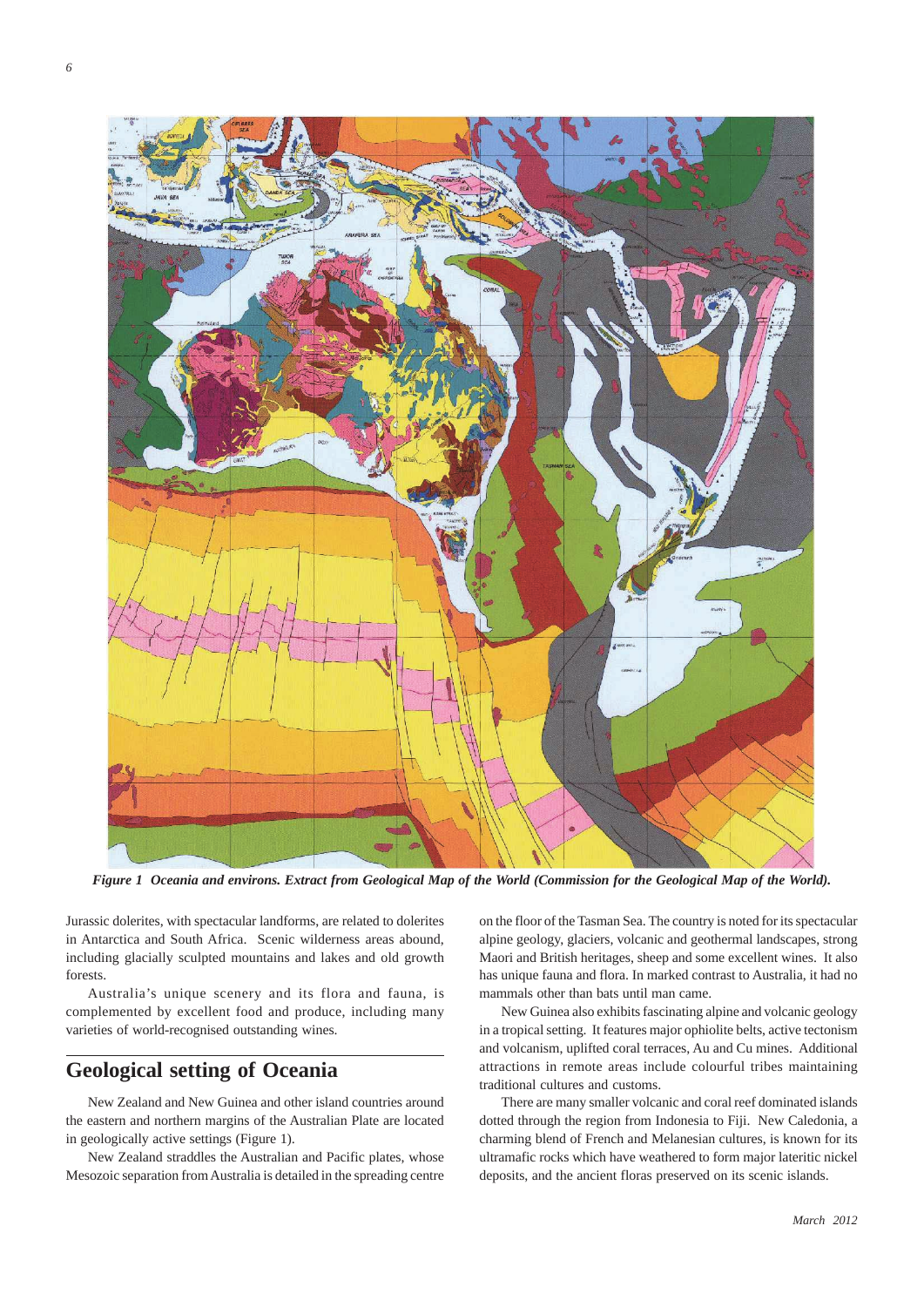

*Figure 1 Oceania and environs. Extract from Geological Map of the World (Commission for the Geological Map of the World).*

Jurassic dolerites, with spectacular landforms, are related to dolerites in Antarctica and South Africa. Scenic wilderness areas abound, including glacially sculpted mountains and lakes and old growth forests.

Australia's unique scenery and its flora and fauna, is complemented by excellent food and produce, including many varieties of world-recognised outstanding wines.

# **Geological setting of Oceania**

New Zealand and New Guinea and other island countries around the eastern and northern margins of the Australian Plate are located in geologically active settings (Figure 1).

New Zealand straddles the Australian and Pacific plates, whose Mesozoic separation from Australia is detailed in the spreading centre on the floor of the Tasman Sea. The country is noted for its spectacular alpine geology, glaciers, volcanic and geothermal landscapes, strong Maori and British heritages, sheep and some excellent wines. It also has unique fauna and flora. In marked contrast to Australia, it had no mammals other than bats until man came.

New Guinea also exhibits fascinating alpine and volcanic geology in a tropical setting. It features major ophiolite belts, active tectonism and volcanism, uplifted coral terraces, Au and Cu mines. Additional attractions in remote areas include colourful tribes maintaining traditional cultures and customs.

There are many smaller volcanic and coral reef dominated islands dotted through the region from Indonesia to Fiji. New Caledonia, a charming blend of French and Melanesian cultures, is known for its ultramafic rocks which have weathered to form major lateritic nickel deposits, and the ancient floras preserved on its scenic islands.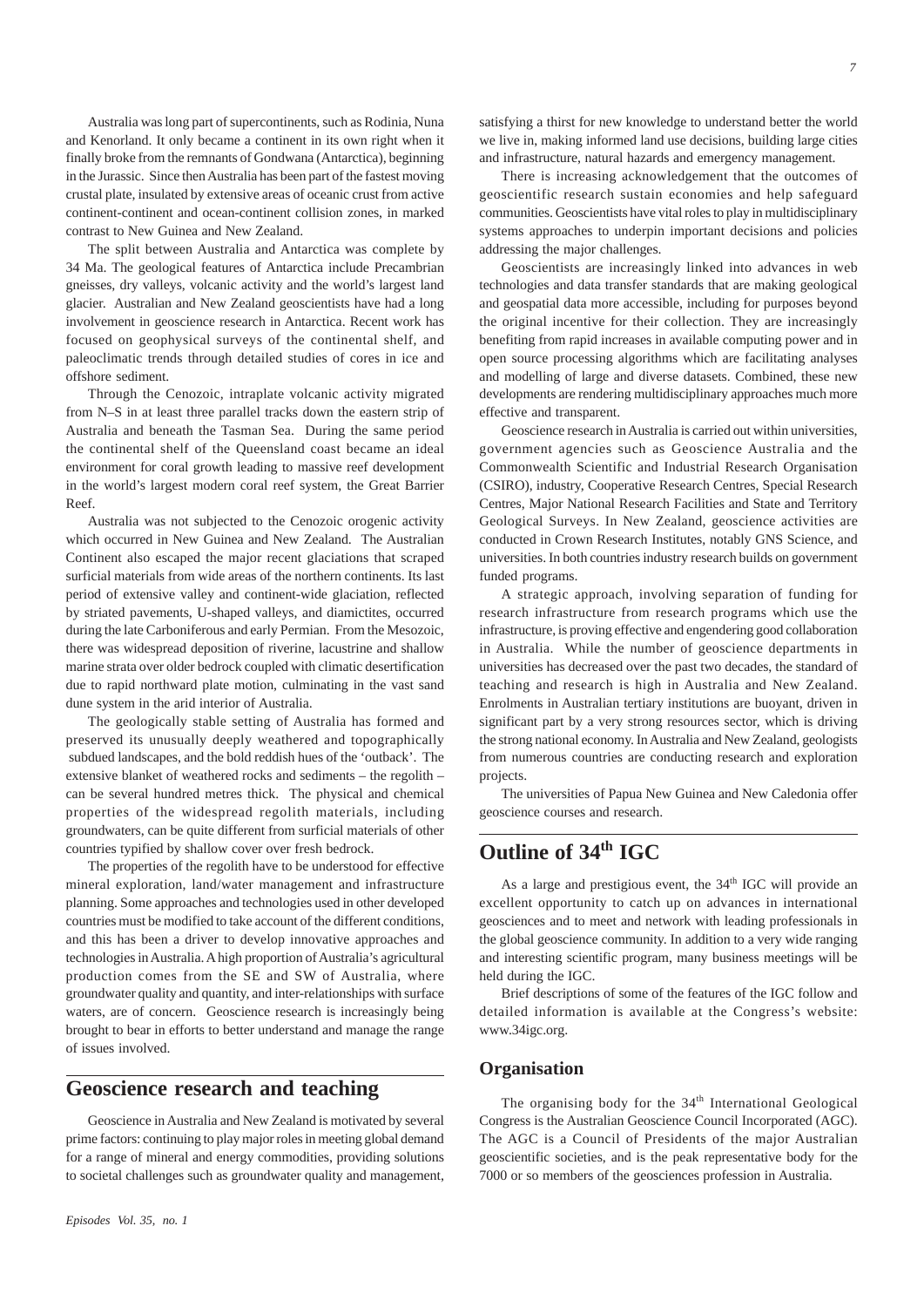Australia was long part of supercontinents, such as Rodinia, Nuna and Kenorland. It only became a continent in its own right when it finally broke from the remnants of Gondwana (Antarctica), beginning in the Jurassic. Since then Australia has been part of the fastest moving crustal plate, insulated by extensive areas of oceanic crust from active continent-continent and ocean-continent collision zones, in marked contrast to New Guinea and New Zealand.

The split between Australia and Antarctica was complete by 34 Ma. The geological features of Antarctica include Precambrian gneisses, dry valleys, volcanic activity and the world's largest land glacier. Australian and New Zealand geoscientists have had a long involvement in geoscience research in Antarctica. Recent work has focused on geophysical surveys of the continental shelf, and paleoclimatic trends through detailed studies of cores in ice and offshore sediment.

Through the Cenozoic, intraplate volcanic activity migrated from N–S in at least three parallel tracks down the eastern strip of Australia and beneath the Tasman Sea. During the same period the continental shelf of the Queensland coast became an ideal environment for coral growth leading to massive reef development in the world's largest modern coral reef system, the Great Barrier Reef.

Australia was not subjected to the Cenozoic orogenic activity which occurred in New Guinea and New Zealand. The Australian Continent also escaped the major recent glaciations that scraped surficial materials from wide areas of the northern continents. Its last period of extensive valley and continent-wide glaciation, reflected by striated pavements, U-shaped valleys, and diamictites, occurred during the late Carboniferous and early Permian. From the Mesozoic, there was widespread deposition of riverine, lacustrine and shallow marine strata over older bedrock coupled with climatic desertification due to rapid northward plate motion, culminating in the vast sand dune system in the arid interior of Australia.

The geologically stable setting of Australia has formed and preserved its unusually deeply weathered and topographically subdued landscapes, and the bold reddish hues of the 'outback'. The extensive blanket of weathered rocks and sediments – the regolith – can be several hundred metres thick. The physical and chemical properties of the widespread regolith materials, including groundwaters, can be quite different from surficial materials of other countries typified by shallow cover over fresh bedrock.

The properties of the regolith have to be understood for effective mineral exploration, land/water management and infrastructure planning. Some approaches and technologies used in other developed countries must be modified to take account of the different conditions, and this has been a driver to develop innovative approaches and technologies in Australia. A high proportion of Australia's agricultural production comes from the SE and SW of Australia, where groundwater quality and quantity, and inter-relationships with surface waters, are of concern. Geoscience research is increasingly being brought to bear in efforts to better understand and manage the range of issues involved.

# **Geoscience research and teaching**

Geoscience in Australia and New Zealand is motivated by several prime factors: continuing to play major roles in meeting global demand for a range of mineral and energy commodities, providing solutions to societal challenges such as groundwater quality and management,

satisfying a thirst for new knowledge to understand better the world we live in, making informed land use decisions, building large cities and infrastructure, natural hazards and emergency management.

There is increasing acknowledgement that the outcomes of geoscientific research sustain economies and help safeguard communities. Geoscientists have vital roles to play in multidisciplinary systems approaches to underpin important decisions and policies addressing the major challenges.

Geoscientists are increasingly linked into advances in web technologies and data transfer standards that are making geological and geospatial data more accessible, including for purposes beyond the original incentive for their collection. They are increasingly benefiting from rapid increases in available computing power and in open source processing algorithms which are facilitating analyses and modelling of large and diverse datasets. Combined, these new developments are rendering multidisciplinary approaches much more effective and transparent.

Geoscience research in Australia is carried out within universities, government agencies such as Geoscience Australia and the Commonwealth Scientific and Industrial Research Organisation (CSIRO), industry, Cooperative Research Centres, Special Research Centres, Major National Research Facilities and State and Territory Geological Surveys. In New Zealand, geoscience activities are conducted in Crown Research Institutes, notably GNS Science, and universities. In both countries industry research builds on government funded programs.

A strategic approach, involving separation of funding for research infrastructure from research programs which use the infrastructure, is proving effective and engendering good collaboration in Australia. While the number of geoscience departments in universities has decreased over the past two decades, the standard of teaching and research is high in Australia and New Zealand. Enrolments in Australian tertiary institutions are buoyant, driven in significant part by a very strong resources sector, which is driving the strong national economy. In Australia and New Zealand, geologists from numerous countries are conducting research and exploration projects.

The universities of Papua New Guinea and New Caledonia offer geoscience courses and research.

# **Outline of 34<sup>th</sup> IGC**

As a large and prestigious event, the  $34<sup>th</sup>$  IGC will provide an excellent opportunity to catch up on advances in international geosciences and to meet and network with leading professionals in the global geoscience community. In addition to a very wide ranging and interesting scientific program, many business meetings will be held during the IGC.

Brief descriptions of some of the features of the IGC follow and detailed information is available at the Congress's website: www.34igc.org.

#### **Organisation**

The organising body for the 34<sup>th</sup> International Geological Congress is the Australian Geoscience Council Incorporated (AGC). The AGC is a Council of Presidents of the major Australian geoscientific societies, and is the peak representative body for the 7000 or so members of the geosciences profession in Australia.